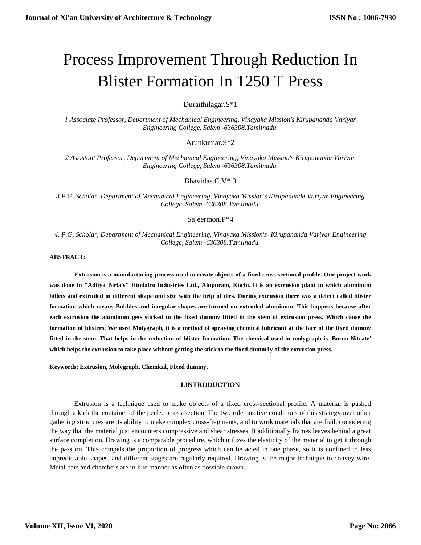# Process Improvement Through Reduction In Blister Formation In 1250 T Press

Duraithilagar.S\*1

*1 Associate Professor, Department of Mechanical Engineering, Vinayaka Mission's Kirupananda Variyar Engineering College, Salem -636308.Tamilnadu.* 

Arunkumar.S\*2

*2 Assistant Professor, Department of Mechanical Engineering, Vinayaka Mission's Kirupananda Variyar Engineering College, Salem -636308.Tamilnadu.* 

Bhavidas.C.V\* 3

*3.P.G, Scholar, Department of Mechanical Engineering, Vinayaka Mission's Kirupananda Variyar Engineering College, Salem -636308.Tamilnadu.* 

Sajeermon.P\*4

*4. P.G, Scholar, Department of Mechanical Engineering, Vinayaka Mission's Kirupananda Variyar Engineering College, Salem -636308.Tamilnadu.*

**ABSTRACT:**

**Extrusion is a manufacturing process used to create objects of a fixed cross-sectional profile. Our project work was done in "Aditya Birla's" Hindalco Industries Ltd., Alupuram, Kochi. It is an extrusion plant in which aluminum billets and extruded in different shape and size with the help of dies. During extrusion there was a defect called blister formation which means Bubbles and irregular shapes are formed on extruded aluminum. This happens because after each extrusion the aluminum gets sticked to the fixed dummy fitted in the stem of extrusion press. Which cause the formation of blisters. We used Molygraph, it is a method of spraying chemical lubricant at the face of the fixed dummy fitted in the stem. That helps in the reduction of blister formation. The chemical used in molygraph is 'Boron Nitrate' which helps the extrusion to take place without getting the stick to the fixed dumm1y of the extrusion press.**

**Keywords: Extrusion, Molygraph, Chemical, Fixed dummy.**

## **I.INTRODUCTION**

Extrusion is a technique used to make objects of a fixed cross-sectional profile. A material is pushed through a kick the container of the perfect cross-section. The two rule positive conditions of this strategy over other gathering structures are its ability to make complex cross-fragments, and to work materials that are frail, considering the way that the material just encounters compressive and shear stresses. It additionally frames leaves behind a great surface completion. Drawing is a comparable procedure, which utilizes the elasticity of the material to get it through the pass on. This compels the proportion of progress which can be acted in one phase, so it is confined to less unpredictable shapes, and different stages are regularly required. Drawing is the major technique to convey wire. Metal bars and chambers are in like manner as often as possible drawn.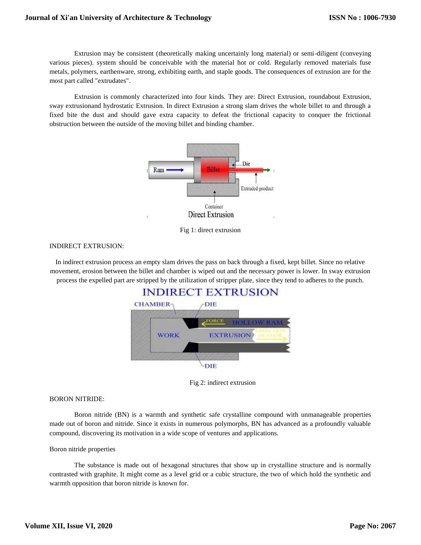Extrusion may be consistent (theoretically making uncertainly long material) or semi-diligent (conveying various pieces). system should be conceivable with the material hot or cold. Regularly removed materials fuse metals, polymers, earthenware, strong, exhibiting earth, and staple goods. The consequences of extrusion are for the most part called "extrudates".

Extrusion is commonly characterized into four kinds. They are: Direct Extrusion, roundabout Extrusion, sway extrusionand hydrostatic Extrusion. In direct Extrusion a strong slam drives the whole billet to and through a fixed bite the dust and should gave extra capacity to defeat the frictional capacity to conquer the frictional obstruction between the outside of the moving billet and binding chamber.



Fig 1: direct extrusion

# INDIRECT EXTRUSION:

In indirect extrusion process an empty slam drives the pass on back through a fixed, kept billet. Since no relative movement, erosion between the billet and chamber is wiped out and the necessary power is lower. In sway extrusion process the expelled part are stripped by the utilization of stripper plate, since they tend to adheres to the punch.



Fig 2: indirect extrusion

## BORON NITRIDE:

Boron nitride (BN) is a warmth and synthetic safe crystalline compound with unmanageable properties made out of boron and nitride. Since it exists in numerous polymorphs, BN has advanced as a profoundly valuable compound, discovering its motivation in a wide scope of ventures and applications.

## Boron nitride properties

The substance is made out of hexagonal structures that show up in crystalline structure and is normally contrasted with graphite. It might come as a level grid or a cubic structure, the two of which hold the synthetic and warmth opposition that boron nitride is known for.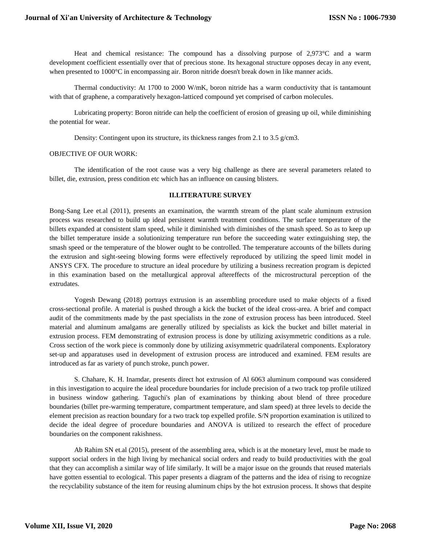Heat and chemical resistance: The compound has a dissolving purpose of 2,973°C and a warm development coefficient essentially over that of precious stone. Its hexagonal structure opposes decay in any event, when presented to 1000°C in encompassing air. Boron nitride doesn't break down in like manner acids.

Thermal conductivity: At 1700 to 2000 W/mK, boron nitride has a warm conductivity that is tantamount with that of graphene, a comparatively hexagon-latticed compound yet comprised of carbon molecules.

Lubricating property: Boron nitride can help the coefficient of erosion of greasing up oil, while diminishing the potential for wear.

Density: Contingent upon its structure, its thickness ranges from 2.1 to 3.5 g/cm3.

#### OBJECTIVE OF OUR WORK:

The identification of the root cause was a very big challenge as there are several parameters related to billet, die, extrusion, press condition etc which has an influence on causing blisters.

#### **II.LITERATURE SURVEY**

Bong-Sang Lee et.al (2011), presents an examination, the warmth stream of the plant scale aluminum extrusion process was researched to build up ideal persistent warmth treatment conditions. The surface temperature of the billets expanded at consistent slam speed, while it diminished with diminishes of the smash speed. So as to keep up the billet temperature inside a solutionizing temperature run before the succeeding water extinguishing step, the smash speed or the temperature of the blower ought to be controlled. The temperature accounts of the billets during the extrusion and sight-seeing blowing forms were effectively reproduced by utilizing the speed limit model in ANSYS CFX. The procedure to structure an ideal procedure by utilizing a business recreation program is depicted in this examination based on the metallurgical approval aftereffects of the microstructural perception of the extrudates.

Yogesh Dewang (2018) portrays extrusion is an assembling procedure used to make objects of a fixed cross-sectional profile. A material is pushed through a kick the bucket of the ideal cross-area. A brief and compact audit of the commitments made by the past specialists in the zone of extrusion process has been introduced. Steel material and aluminum amalgams are generally utilized by specialists as kick the bucket and billet material in extrusion process. FEM demonstrating of extrusion process is done by utilizing axisymmetric conditions as a rule. Cross section of the work piece is commonly done by utilizing axisymmetric quadrilateral components. Exploratory set-up and apparatuses used in development of extrusion process are introduced and examined. FEM results are introduced as far as variety of punch stroke, punch power.

S. Chahare, K. H. Inamdar, presents direct hot extrusion of Al 6063 aluminum compound was considered in this investigation to acquire the ideal procedure boundaries for include precision of a two track top profile utilized in business window gathering. Taguchi's plan of examinations by thinking about blend of three procedure boundaries (billet pre-warming temperature, compartment temperature, and slam speed) at three levels to decide the element precision as reaction boundary for a two track top expelled profile. S/N proportion examination is utilized to decide the ideal degree of procedure boundaries and ANOVA is utilized to research the effect of procedure boundaries on the component rakishness.

Ab Rahim SN et.al (2015), present of the assembling area, which is at the monetary level, must be made to support social orders in the high living by mechanical social orders and ready to build productivities with the goal that they can accomplish a similar way of life similarly. It will be a major issue on the grounds that reused materials have gotten essential to ecological. This paper presents a diagram of the patterns and the idea of rising to recognize the recyclability substance of the item for reusing aluminum chips by the hot extrusion process. It shows that despite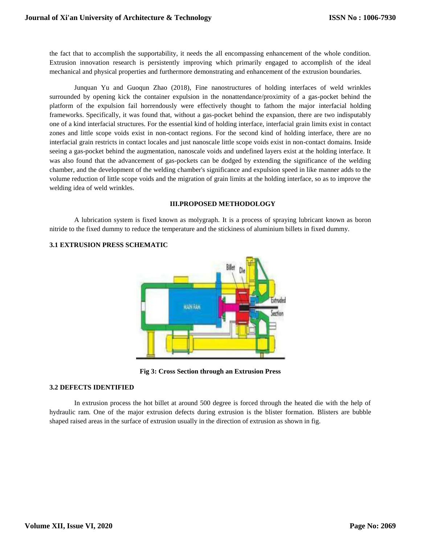the fact that to accomplish the supportability, it needs the all encompassing enhancement of the whole condition. Extrusion innovation research is persistently improving which primarily engaged to accomplish of the ideal mechanical and physical properties and furthermore demonstrating and enhancement of the extrusion boundaries.

Junquan Yu and Guoqun Zhao (2018), Fine nanostructures of holding interfaces of weld wrinkles surrounded by opening kick the container expulsion in the nonattendance/proximity of a gas-pocket behind the platform of the expulsion fail horrendously were effectively thought to fathom the major interfacial holding frameworks. Specifically, it was found that, without a gas-pocket behind the expansion, there are two indisputably one of a kind interfacial structures. For the essential kind of holding interface, interfacial grain limits exist in contact zones and little scope voids exist in non-contact regions. For the second kind of holding interface, there are no interfacial grain restricts in contact locales and just nanoscale little scope voids exist in non-contact domains. Inside seeing a gas-pocket behind the augmentation, nanoscale voids and undefined layers exist at the holding interface. It was also found that the advancement of gas-pockets can be dodged by extending the significance of the welding chamber, and the development of the welding chamber's significance and expulsion speed in like manner adds to the volume reduction of little scope voids and the migration of grain limits at the holding interface, so as to improve the welding idea of weld wrinkles.

# **III.PROPOSED METHODOLOGY**

A lubrication system is fixed known as molygraph. It is a process of spraying lubricant known as boron nitride to the fixed dummy to reduce the temperature and the stickiness of aluminium billets in fixed dummy.



# **3.1 EXTRUSION PRESS SCHEMATIC**

**Fig 3: Cross Section through an Extrusion Press**

# **3.2 DEFECTS IDENTIFIED**

In extrusion process the hot billet at around 500 degree is forced through the heated die with the help of hydraulic ram. One of the major extrusion defects during extrusion is the blister formation. Blisters are bubble shaped raised areas in the surface of extrusion usually in the direction of extrusion as shown in fig.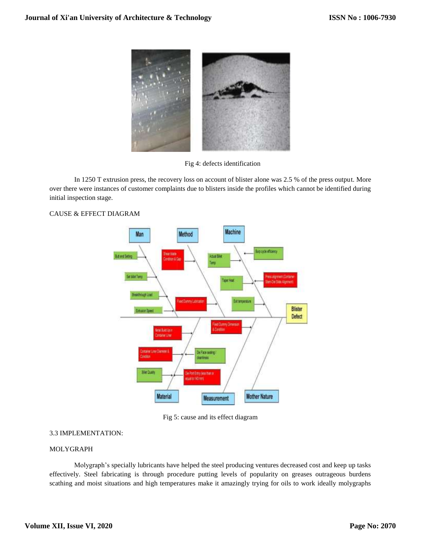

Fig 4: defects identification

In 1250 T extrusion press, the recovery loss on account of blister alone was 2.5 % of the press output. More over there were instances of customer complaints due to blisters inside the profiles which cannot be identified during initial inspection stage.



# CAUSE & EFFECT DIAGRAM

Fig 5: cause and its effect diagram

# 3.3 IMPLEMENTATION:

# MOLYGRAPH

Molygraph's specially lubricants have helped the steel producing ventures decreased cost and keep up tasks effectively. Steel fabricating is through procedure putting levels of popularity on greases outrageous burdens scathing and moist situations and high temperatures make it amazingly trying for oils to work ideally molygraphs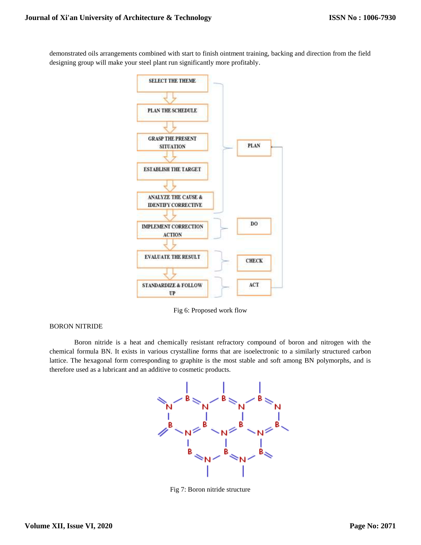demonstrated oils arrangements combined with start to finish ointment training, backing and direction from the field designing group will make your steel plant run significantly more profitably.



Fig 6: Proposed work flow

# BORON NITRIDE

Boron nitride is a heat and chemically resistant refractory compound of boron and nitrogen with the chemical formula BN. It exists in various crystalline forms that are isoelectronic to a similarly structured carbon lattice. The hexagonal form corresponding to graphite is the most stable and soft among BN polymorphs, and is therefore used as a lubricant and an additive to cosmetic products.



Fig 7: Boron nitride structure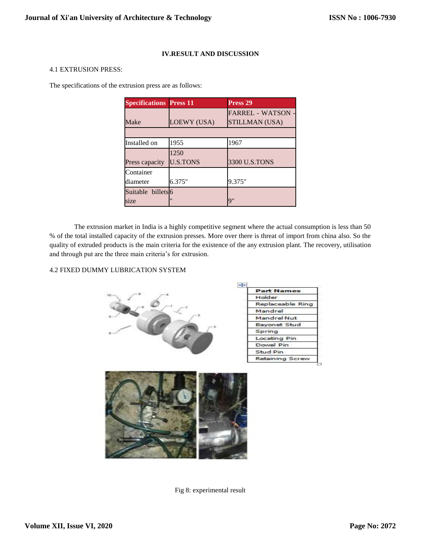# **IV.RESULT AND DISCUSSION**

## 4.1 EXTRUSION PRESS:

The specifications of the extrusion press are as follows:

| <b>Specifications Press 11</b> |                    | Press <sub>29</sub>      |
|--------------------------------|--------------------|--------------------------|
|                                |                    | <b>FARREL - WATSON -</b> |
| Make                           | <b>LOEWY (USA)</b> | <b>STILLMAN (USA)</b>    |
|                                |                    |                          |
| Installed on                   | 1955               | 1967                     |
|                                | 1250               |                          |
| Press capacity                 | <b>U.S.TONS</b>    | 3300 U.S.TONS            |
| Container                      |                    |                          |
| diameter                       | 6.375"             | 9.375"                   |
| Suitable billets <sup>6</sup>  |                    |                          |
| size                           |                    | Q''                      |

The extrusion market in India is a highly competitive segment where the actual consumption is less than 50 % of the total installed capacity of the extrusion presses. More over there is threat of import from china also. So the quality of extruded products is the main criteria for the existence of the any extrusion plant. The recovery, utilisation and through put are the three main criteria's for extrusion.

# 4.2 FIXED DUMMY LUBRICATION SYSTEM





Fig 8: experimental result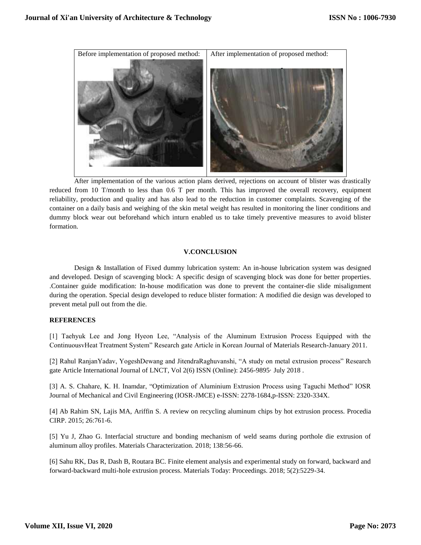

After implementation of the various action plans derived, rejections on account of blister was drastically reduced from 10 T/month to less than 0.6 T per month. This has improved the overall recovery, equipment reliability, production and quality and has also lead to the reduction in customer complaints. Scavenging of the container on a daily basis and weighing of the skin metal weight has resulted in monitoring the liner conditions and dummy block wear out beforehand which inturn enabled us to take timely preventive measures to avoid blister formation.

## **V.CONCLUSION**

Design & Installation of Fixed dummy lubrication system: An in-house lubrication system was designed and developed. Design of scavenging block: A specific design of scavenging block was done for better properties. .Container guide modification: In-house modification was done to prevent the container-die slide misalignment during the operation. Special design developed to reduce blister formation: A modified die design was developed to prevent metal pull out from the die.

## **REFERENCES**

[1] Taehyuk Lee and Jong Hyeon Lee, "Analysis of the Aluminum Extrusion Process Equipped with the ContinuousvHeat Treatment System" Research gate Article in Korean Journal of Materials Research-January 2011.

[2] Rahul RanjanYadav, YogeshDewang and JitendraRaghuvanshi, "A study on metal extrusion process" Research gate Article International Journal of LNCT, Vol 2(6) ISSN (Online): 2456-9895· July 2018 .

[3] A. S. Chahare, K. H. Inamdar, "Optimization of Aluminium Extrusion Process using Taguchi Method" IOSR Journal of Mechanical and Civil Engineering (IOSR-JMCE) e-ISSN: 2278-1684,p-ISSN: 2320-334X.

[4] Ab Rahim SN, Lajis MA, Ariffin S. A review on recycling aluminum chips by hot extrusion process. Procedia CIRP. 2015; 26:761-6.

[5] Yu J, Zhao G. Interfacial structure and bonding mechanism of weld seams during porthole die extrusion of aluminum alloy profiles. Materials Characterization. 2018; 138:56-66.

[6] Sahu RK, Das R, Dash B, Routara BC. Finite element analysis and experimental study on forward, backward and forward-backward multi-hole extrusion process. Materials Today: Proceedings. 2018; 5(2):5229-34.